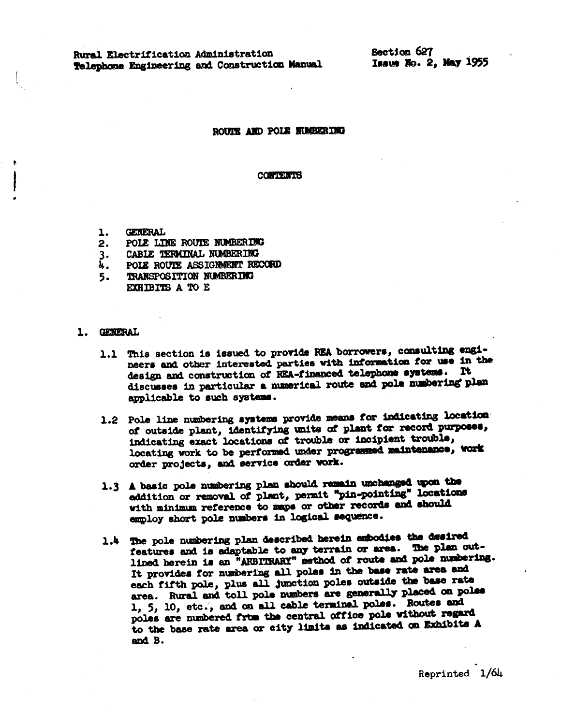Rural Electrification Administration Telephone Engineering and Construction Manual Section 627 Issue No. 2, May 1955

### ROUTE AND POLE NUMBER DIG

#### **CONTENTS**

- **GENERAL** 1.
- POLE LINE ROUTE NUMBERING  $2.$
- CABLE TERMINAL NUMBERING 3.
- Á. POLE ROUTE ASSIGNMENT RECORD
- TRANSPOSITION NUMBERING 5. EXHIBITS A TO E

## 1. GENERAL

- 1.1 This section is issued to provide REA borrowers, consulting engineers and other interested parties with information for use in the design and construction of REA-financed telephone systems. It discusses in particular a numerical route and pole numbering plan applicable to such systems.
- 1.2 Pole line numbering systems provide means for indicating location of outside plant, identifying units of plant for record purposes, indicating exact locations of trouble or incipient trouble, locating work to be performed under programmed maintenance, work order projects, and service order work.
- 1.3 A basic pole numbering plan should remain unchanged upon the eddition or removal of plant, permit "pin-pointing" locations with minimum reference to maps or other records and should employ short pole numbers in logical sequence.
- 1.4 The pole numbering plan described herein embodies the desired features and is adaptable to any terrain or area. The plan outlined herein is an "ARBITRARY" method of route and pole numbering. It provides for numbering all poles in the base rate area and each fifth pole, plus all junction poles outside the base rate area. Rural and toll pole numbers are generally placed on poles 1, 5, 10, etc., and on all cable terminal poles. Routes and poles are numbered from the central office pole without regard to the base rate area or city limits as indicated on Exhibits A and B.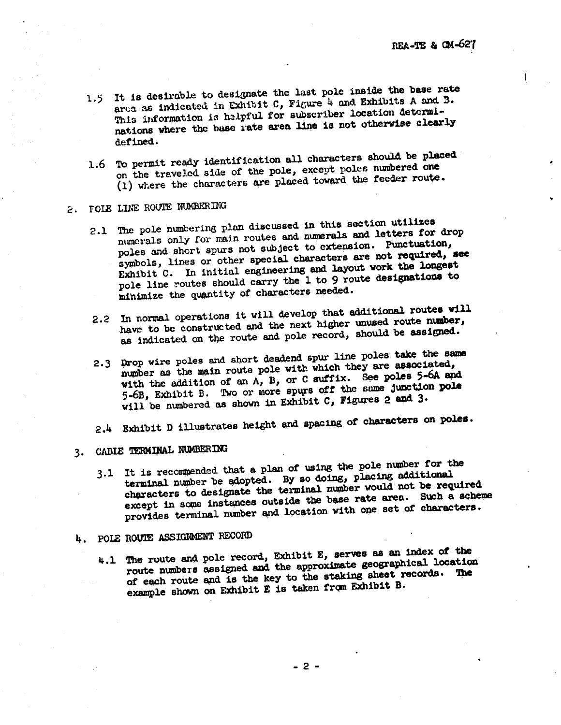- 1.5 It is desirable to designate the last pole inside the base rate area as indicated in Exhibit C, Figure 4 and Exhibits A and B. This information is helpful for subscriber location determinations where the base rate area line is not otherwise clearly defined.
- 1.6 To permit ready identification all characters should be placed on the traveled side of the pole, except poles numbered one (1) where the characters are placed toward the feeder route.

# 2. FOLE LINE ROUTE NUMBERING

- 2.1 The pole numbering plan discussed in this section utilizes numerals only for main routes and numerals and letters for drop poles and short spurs not subject to extension. Punctuation, symbols, lines or other special characters are not required, see Exhibit C. In initial engineering and layout work the longest pole line routes should carry the 1 to 9 route designations to minimize the quantity of characters needed.
- 2.2 In normal operations it will develop that additional routes will have to be constructed and the next higher unused route number, as indicated on the route and pole record, should be assigned.
- 2.3 Drop wire poles and short deadend spur line poles take the same number as the main route pole with which they are associated, with the addition of an A, B, or C suffix. See poles 5-6A and 5-6B, Exhibit B. Two or more spurs off the same junction pole will be numbered as shown in Exhibit C, Figures 2 and 3.
- 2.4 Exhibit D illustrates height and spacing of characters on poles.

## 3. CABLE TERMINAL NUMBERING

3.1 It is recommended that a plan of using the pole number for the terminal number be adopted. By so doing, placing additional characters to designate the terminal number would not be required except in some instances outside the base rate area. Such a scheme provides terminal number and location with one set of characters.

# 4. POLE ROUTE ASSIGNMENT RECORD

4.1 The route and pole record, Exhibit E, serves as an index of the route numbers assigned and the approximate geographical location of each route and is the key to the staking sheet records. The example shown on Exhibit E is taken from Exhibit B.

 $-2-$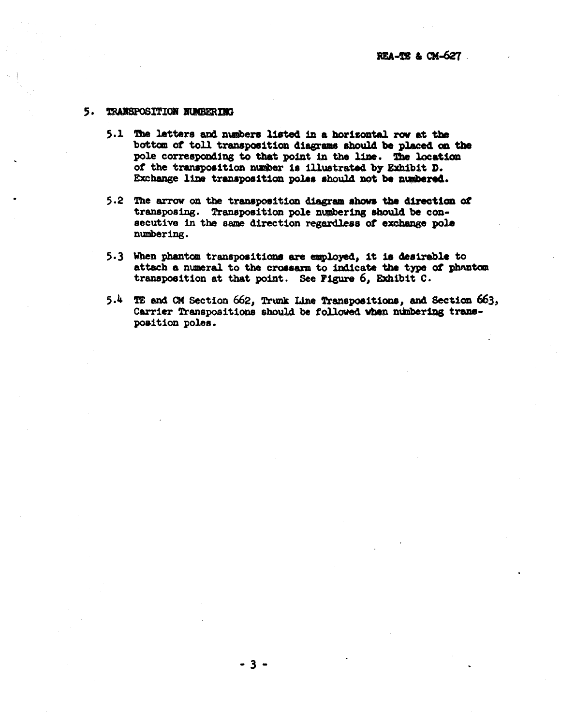#### 5. **TRANSPOSITION NUMBERING**

- 5.1 The letters and numbers listed in a horizontal row at the bottom of toll transposition diagrams should be placed on the pole corresponding to that point in the line. The location of the transposition number is illustrated by Exhibit D. Exchange line transposition poles should not be numbered.
- 5.2 The arrow on the transposition diagram shows the direction of transposing. Transposition pole numbering should be consecutive in the same direction regardless of exchange pole numbering.
- 5.3 When phantom transpositions are employed, it is desirable to attach a numeral to the crossarm to indicate the type of phantom transposition at that point. See Figure 6, Exhibit C.
- 5.4 TE and CM Section 662, Trunk Line Transpositions, and Section 663, Carrier Transpositions should be followed when numbering transposition poles.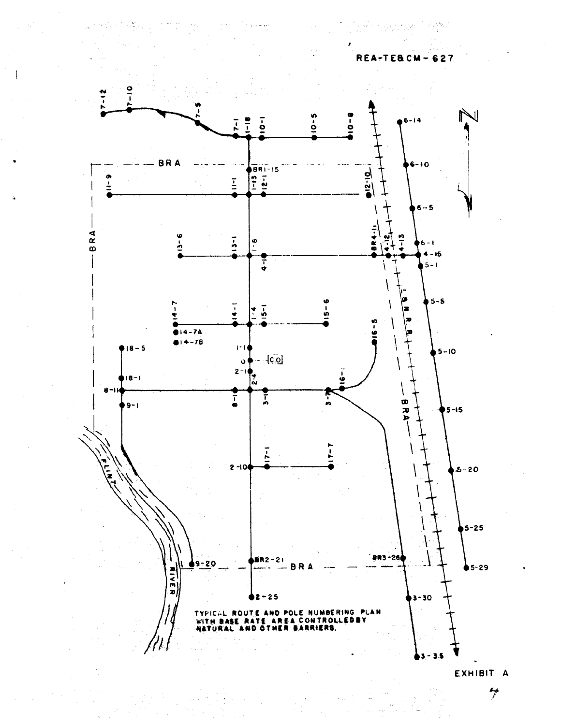

EXHIBIT A

i Albert Ster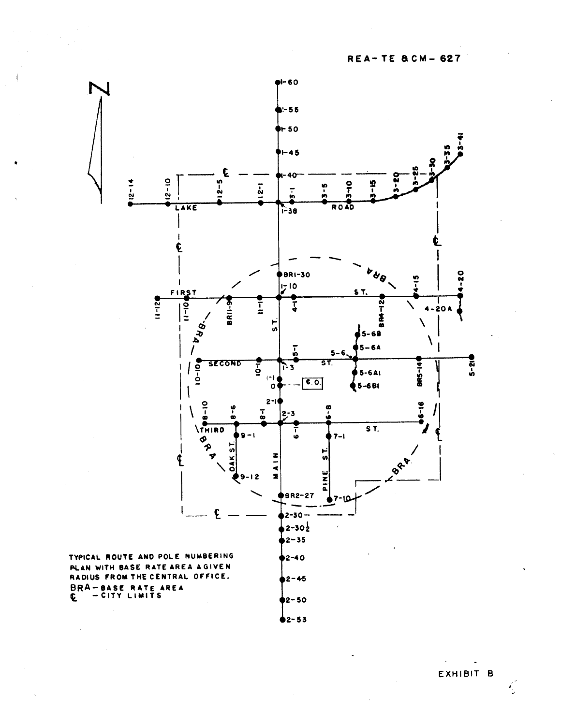

EXHIBIT B

 $\ddot{\phantom{0}}$ 

 $\sim$ 

Ç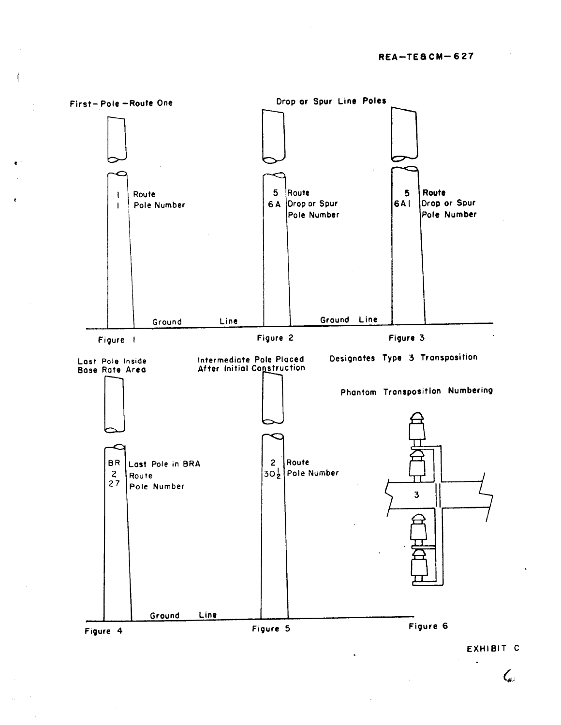

EXHIBIT C

 $\bm{\zeta}$ 

 $\ddot{\phantom{a}}$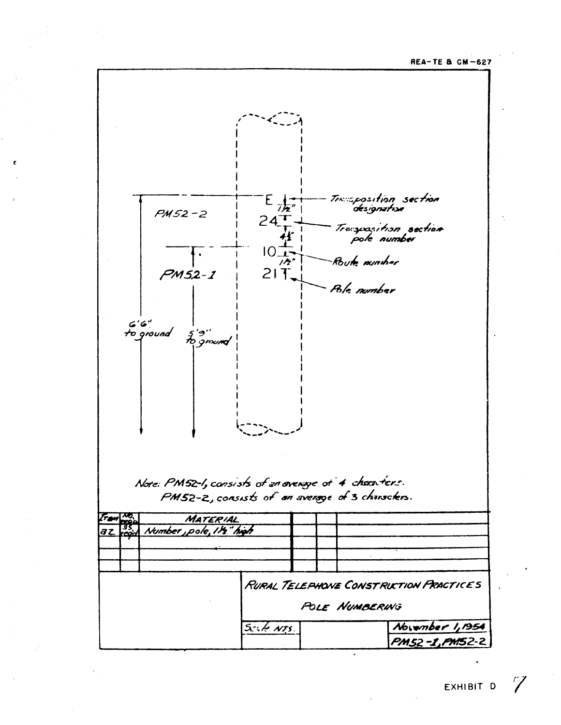**REA-TE & CM-627**